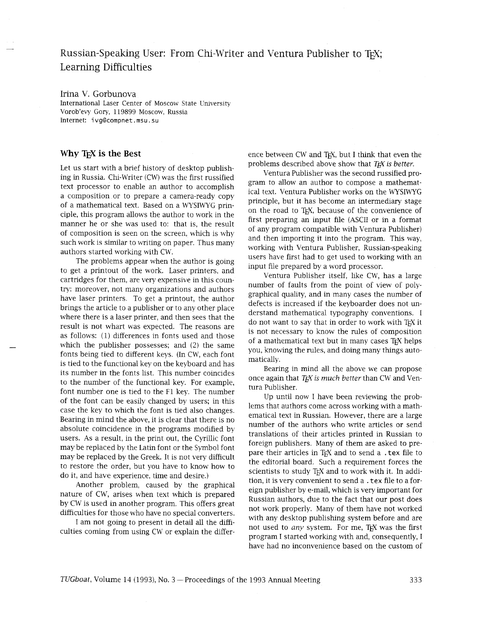# Russian-Speaking User: From Chi-Writer and Ventura Publisher to TrX; Learning Difficulties

### Irina V. Gorbunova

International Laser Center of Moscow State University Vorob'evy Gory, 119899 Moscow, Russia Internet: ivg@compnet . msu . su

### **Why TEX is the Best**

Let us start with a brief history of desktop publishing in Russia. Chi-Writer (CW) was the first russified text processor to enable an author to accomplish a composition or to prepare a camera-ready copy of a mathematical text. Based on a WYSIWYG principle, this program allows the author to work in the manner he or she was used to: that is, the result of composition is seen on the screen, which is why such work is similar to writing on paper. Thus many authors started working with CW.

The problems appear when the author is going to get a printout of the work. Laser printers, and cartridges for them, are very expensive in this country: moreover, not many organizations and authors have laser printers. To get a printout, the author brings the article to a publisher or to any other place where there is a laser printer, and then sees that the result is not whart was expected. The reasons are as follows: (1) differences in fonts used and those which the publisher possesses; and *(2)* the same fonts being tied to different keys. (In CW, each font is tied to the functional key on the keyboard and has its number in the fonts list. This number coincides to the number of the functional key. For example, font number one is tied to the F1 key. The number of the font can be easily changed by users; in this case the key to which the font is tied also changes. Bearing in mind the above, it is clear that there is no absolute coincidence in the programs modified by users. As a result, in the print out, the Cyrillic font may be replaced by the Latin font or the Symbol font may be replaced by the Greek. It is not very difficult to restore the order, but you have to know how to do it, and have experience, time and desire.)

Another problem, caused by the graphical nature of CW, arises when text which is prepared by CW is used in another program. This offers great difficulties for those who have no special converters.

I am not going to present in detail all the difficulties coming from using CW or explain the difference between CW and TEX, but I think that even the problems described above show that *T<sub>F</sub>X* is *better*.

Ventura Publisher was the second russified program to allow an author to compose a mathematical text. Ventura Publisher works on the WYSIWYG principle, but it has become an intermediary stage on the road to TEX, because of the convenience of first preparing an input file (ASCII or in a format of any program compatible with Ventura Publisher) and then importing it into the program. This way, working with Ventura Publisher, Russian-speaking users have first had to get used to working with an input file prepared by a word processor.

Ventura Publisher itself, like CW, has a large number of faults from the point of view of polygraphical quality, and in many cases the number of defects is increased if the keyboarder does not understand mathematical typography conventions. I do not want to say that in order to work with TEX it is not necessary to know the rules of composition of a mathematical text but in many cases T<sub>F</sub>X helps you, knowing the rules, and doing many things automatically.

Bearing in mind all the above we can propose once again that TEX is much better than CW and Ventura Publisher.

Up until now I have been reviewing the problems that authors come across working with a mathematical text in Russian. However, there are a large number of the authors who write articles or send translations of their articles printed in Russian to foreign publishers. Many of them are asked to prepare their articles in T<sub>F</sub>X and to send a . tex file to the editorial board. Such a requirement forces the scientists to study TEX and to work with it. In addition, it is very convenient to send a . tex file to a foreign publisher by e-mail, which is very important for Russian authors, due to the fact that our post does not work properly. Many of them have not worked with any desktop publishing system before and are not used to any system. For me, TEX was the first program I started working with and, consequently, I have had no inconvenience based on the custom of